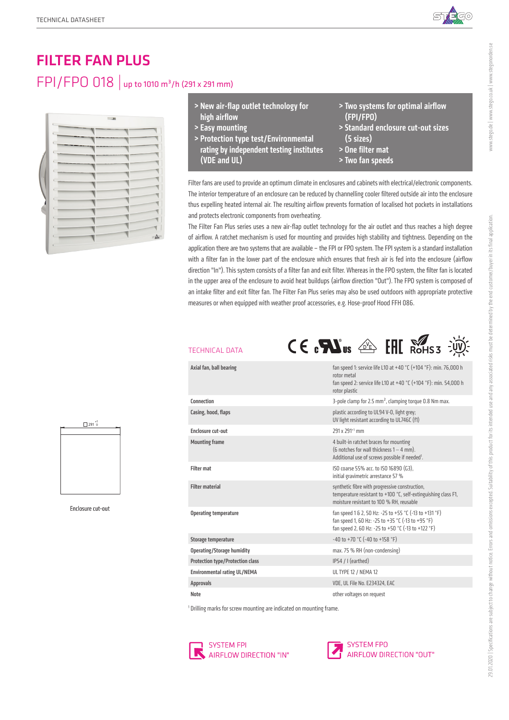![](_page_0_Picture_1.jpeg)

## FILTER FAN PLUS FPI/FPO 018 | up to 1010 m<sup>3</sup>/h (291 x 291 mm)

![](_page_0_Figure_3.jpeg)

- > New air-flap outlet technology for high airflow
- > Easy mounting

- > Protection type test/Environmental rating by independent testing institutes (VDE and UL)
- > Two systems for optimal airflow (FPI/FPO)
- > Standard enclosure cut-out sizes (5 sizes)
- > One filter mat
- > Two fan speeds

Filter fans are used to provide an optimum climate in enclosures and cabinets with electrical/electronic components. The interior temperature of an enclosure can be reduced by channelling cooler filtered outside air into the enclosure thus expelling heated internal air. The resulting airflow prevents formation of localised hot pockets in installations and protects electronic components from overheating.

The Filter Fan Plus series uses a new air-flap outlet technology for the air outlet and thus reaches a high degree of airflow. A ratchet mechanism is used for mounting and provides high stability and tightness. Depending on the application there are two systems that are available – the FPI or FPO system. The FPI system is a standard installation with a filter fan in the lower part of the enclosure which ensures that fresh air is fed into the enclosure (airflow direction "In"). This system consists of a filter fan and exit filter. Whereas in the FPO system, the filter fan is located in the upper area of the enclosure to avoid heat buildups (airflow direction "Out"). The FPO system is composed of an intake filter and exit filter fan. The Filter Fan Plus series may also be used outdoors with appropriate protective measures or when equipped with weather proof accessories, e.g. Hose-proof Hood FFH 086.

# <sup>291</sup> +1 0

Enclosure cut-out

| TECHNICAL DATA                    | $C \in \mathbf{R}$ us $\text{d}\mathbf{R}$ FHI Rohss                                                                                                                 |  |  |  |
|-----------------------------------|----------------------------------------------------------------------------------------------------------------------------------------------------------------------|--|--|--|
| Axial fan, ball bearing           | fan speed 1: service life L10 at +40 °C (+104 °F): min. 76,000 h<br>rotor metal<br>fan speed 2: service life L10 at +40 °C (+104 °F): min. 54,000 h<br>rotor plastic |  |  |  |
| Connection                        | 3-pole clamp for 2.5 $mm2$ , clamping torque 0.8 Nm max.                                                                                                             |  |  |  |
| Casing, hood, flaps               | plastic according to UL94 V-0, light grey;<br>UV light resistant according to UL746C (f1)                                                                            |  |  |  |
| Enclosure cut-out                 | 791 x 791 <sup>+1</sup> mm                                                                                                                                           |  |  |  |
| <b>Mounting frame</b>             | 4 built-in ratchet braces for mounting<br>(6 notches for wall thickness $1 - 4$ mm).<br>Additional use of screws possible if needed <sup>1</sup> .                   |  |  |  |
| <b>Filter mat</b>                 | ISO coarse 55% acc. to ISO 16890 (G3),<br>initial gravimetric arrestance 57 %                                                                                        |  |  |  |
| <b>Filter material</b>            | synthetic fibre with progressive construction,<br>temperature resistant to +100 °C, self-extinguishing class F1,<br>moisture resistant to 100 % RH, reusable         |  |  |  |
| <b>Operating temperature</b>      | fan speed 1 & 2, 50 Hz: -25 to +55 °C (-13 to +131 °F)<br>fan speed 1, 60 Hz: -25 to +35 °C (-13 to +95 °F)<br>fan speed 2, 60 Hz: -25 to +50 °C (-13 to +122 °F)    |  |  |  |
| Storage temperature               | $-40$ to $+70$ °C ( $-40$ to $+158$ °F)                                                                                                                              |  |  |  |
| <b>Operating/Storage humidity</b> | max. 75 % RH (non-condensing)                                                                                                                                        |  |  |  |

![](_page_0_Picture_16.jpeg)

![](_page_0_Picture_18.jpeg)

<sup>1</sup> Drilling marks for screw mounting are indicated on mounting frame.